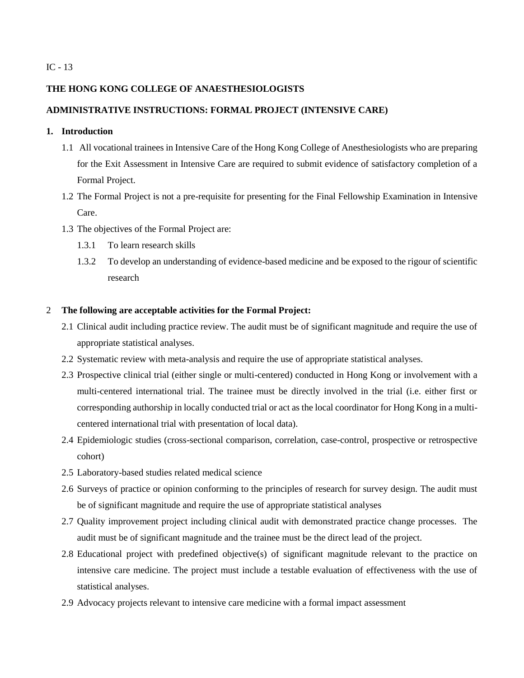## IC - 13

## **THE HONG KONG COLLEGE OF ANAESTHESIOLOGISTS**

# **ADMINISTRATIVE INSTRUCTIONS: FORMAL PROJECT (INTENSIVE CARE)**

# **1. Introduction**

- 1.1 All vocational trainees in Intensive Care of the Hong Kong College of Anesthesiologists who are preparing for the Exit Assessment in Intensive Care are required to submit evidence of satisfactory completion of a Formal Project.
- 1.2 The Formal Project is not a pre-requisite for presenting for the Final Fellowship Examination in Intensive Care.
- 1.3 The objectives of the Formal Project are:
	- 1.3.1 To learn research skills
	- 1.3.2 To develop an understanding of evidence-based medicine and be exposed to the rigour of scientific research

## 2 **The following are acceptable activities for the Formal Project:**

- 2.1 Clinical audit including practice review. The audit must be of significant magnitude and require the use of appropriate statistical analyses.
- 2.2 Systematic review with meta-analysis and require the use of appropriate statistical analyses.
- 2.3 Prospective clinical trial (either single or multi-centered) conducted in Hong Kong or involvement with a multi-centered international trial. The trainee must be directly involved in the trial (i.e. either first or corresponding authorship in locally conducted trial or act as the local coordinator for Hong Kong in a multicentered international trial with presentation of local data).
- 2.4 Epidemiologic studies (cross-sectional comparison, correlation, case-control, prospective or retrospective cohort)
- 2.5 Laboratory-based studies related medical science
- 2.6 Surveys of practice or opinion conforming to the principles of research for survey design. The audit must be of significant magnitude and require the use of appropriate statistical analyses
- 2.7 Quality improvement project including clinical audit with demonstrated practice change processes. The audit must be of significant magnitude and the trainee must be the direct lead of the project.
- 2.8 Educational project with predefined objective(s) of significant magnitude relevant to the practice on intensive care medicine. The project must include a testable evaluation of effectiveness with the use of statistical analyses.
- 2.9 Advocacy projects relevant to intensive care medicine with a formal impact assessment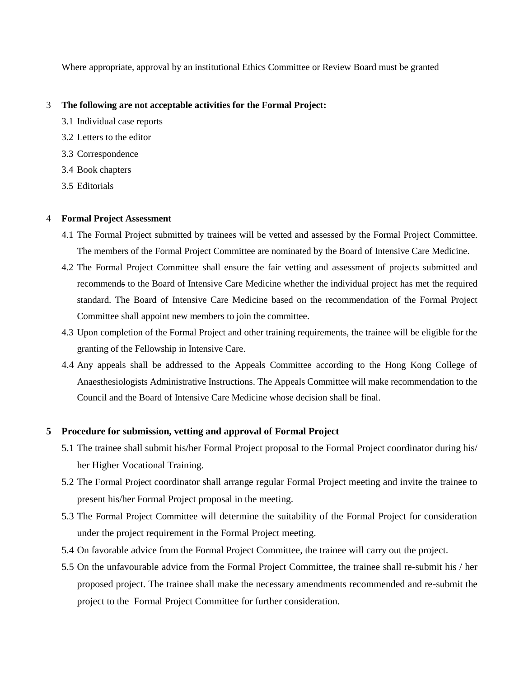Where appropriate, approval by an institutional Ethics Committee or Review Board must be granted

### 3 **The following are not acceptable activities for the Formal Project:**

- 3.1 Individual case reports
- 3.2 Letters to the editor
- 3.3 Correspondence
- 3.4 Book chapters
- 3.5 Editorials

## 4 **Formal Project Assessment**

- 4.1 The Formal Project submitted by trainees will be vetted and assessed by the Formal Project Committee. The members of the Formal Project Committee are nominated by the Board of Intensive Care Medicine.
- 4.2 The Formal Project Committee shall ensure the fair vetting and assessment of projects submitted and recommends to the Board of Intensive Care Medicine whether the individual project has met the required standard. The Board of Intensive Care Medicine based on the recommendation of the Formal Project Committee shall appoint new members to join the committee.
- 4.3 Upon completion of the Formal Project and other training requirements, the trainee will be eligible for the granting of the Fellowship in Intensive Care.
- 4.4 Any appeals shall be addressed to the Appeals Committee according to the Hong Kong College of Anaesthesiologists Administrative Instructions. The Appeals Committee will make recommendation to the Council and the Board of Intensive Care Medicine whose decision shall be final.

# **5 Procedure for submission, vetting and approval of Formal Project**

- 5.1 The trainee shall submit his/her Formal Project proposal to the Formal Project coordinator during his/ her Higher Vocational Training.
- 5.2 The Formal Project coordinator shall arrange regular Formal Project meeting and invite the trainee to present his/her Formal Project proposal in the meeting.
- 5.3 The Formal Project Committee will determine the suitability of the Formal Project for consideration under the project requirement in the Formal Project meeting.
- 5.4 On favorable advice from the Formal Project Committee, the trainee will carry out the project.
- 5.5 On the unfavourable advice from the Formal Project Committee, the trainee shall re-submit his / her proposed project. The trainee shall make the necessary amendments recommended and re-submit the project to the Formal Project Committee for further consideration.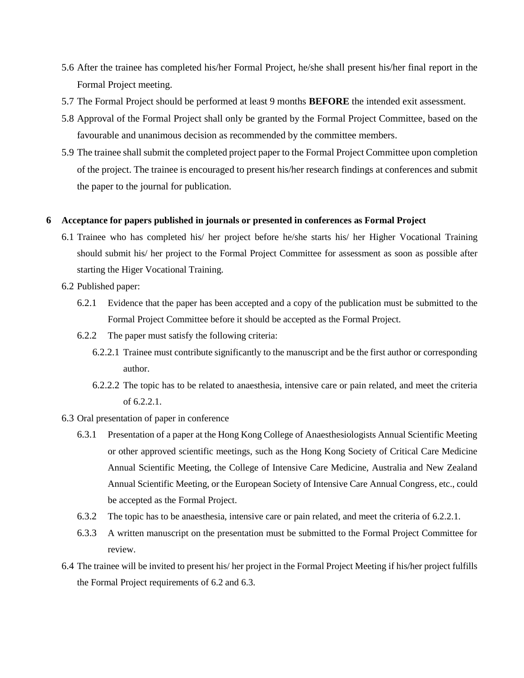- 5.6 After the trainee has completed his/her Formal Project, he/she shall present his/her final report in the Formal Project meeting.
- 5.7 The Formal Project should be performed at least 9 months **BEFORE** the intended exit assessment.
- 5.8 Approval of the Formal Project shall only be granted by the Formal Project Committee, based on the favourable and unanimous decision as recommended by the committee members.
- 5.9 The trainee shall submit the completed project paper to the Formal Project Committee upon completion of the project. The trainee is encouraged to present his/her research findings at conferences and submit the paper to the journal for publication.

#### **6 Acceptance for papers published in journals or presented in conferences as Formal Project**

- 6.1 Trainee who has completed his/ her project before he/she starts his/ her Higher Vocational Training should submit his/ her project to the Formal Project Committee for assessment as soon as possible after starting the Higer Vocational Training.
- 6.2 Published paper:
	- 6.2.1 Evidence that the paper has been accepted and a copy of the publication must be submitted to the Formal Project Committee before it should be accepted as the Formal Project.
	- 6.2.2 The paper must satisfy the following criteria:
		- 6.2.2.1 Trainee must contribute significantly to the manuscript and be the first author or corresponding author.
		- 6.2.2.2 The topic has to be related to anaesthesia, intensive care or pain related, and meet the criteria of 6.2.2.1.
- 6.3 Oral presentation of paper in conference
	- 6.3.1 Presentation of a paper at the Hong Kong College of Anaesthesiologists Annual Scientific Meeting or other approved scientific meetings, such as the Hong Kong Society of Critical Care Medicine Annual Scientific Meeting, the College of Intensive Care Medicine, Australia and New Zealand Annual Scientific Meeting, or the European Society of Intensive Care Annual Congress, etc., could be accepted as the Formal Project.
	- 6.3.2 The topic has to be anaesthesia, intensive care or pain related, and meet the criteria of 6.2.2.1.
	- 6.3.3 A written manuscript on the presentation must be submitted to the Formal Project Committee for review.
- 6.4 The trainee will be invited to present his/ her project in the Formal Project Meeting if his/her project fulfills the Formal Project requirements of 6.2 and 6.3.